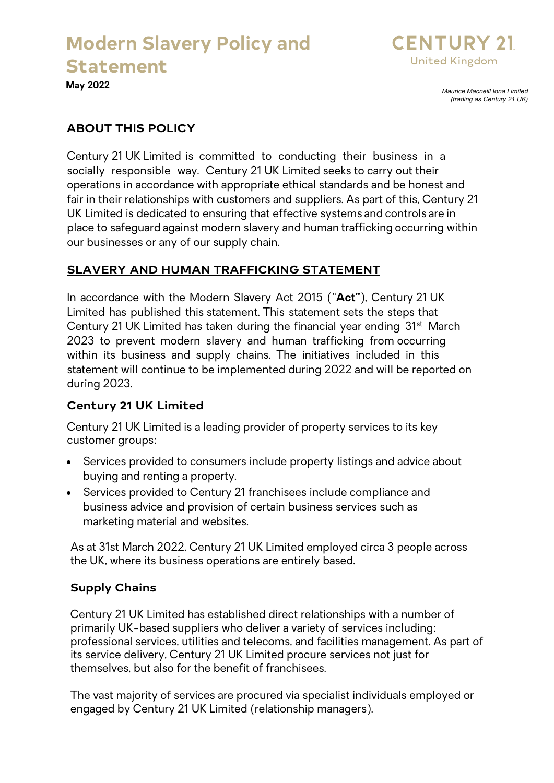

**May 2022**

*Maurice Macneill Iona Limited (trading as Century 21 UK)* 

## **ABOUT THIS POLICY**

Century 21 UK Limited is committed to conducting their business in a socially responsible way. Century 21 UK Limited seeks to carry out their operations in accordance with appropriate ethical standards and be honest and fair in their relationships with customers and suppliers. As part of this, Century 21 UK Limited is dedicated to ensuring that effective systems and controls are in place to safeguard against modern slavery and human trafficking occurring within our businesses or any of our supply chain.

## **SLAVERY AND HUMAN TRAFFICKING STATEMENT**

In accordance with the Modern Slavery Act 2015 ("**Act"**), Century 21 UK Limited has published this statement. This statement sets the steps that Century 21 UK Limited has taken during the financial year ending 31st March 2023 to prevent modern slavery and human trafficking from occurring within its business and supply chains. The initiatives included in this statement will continue to be implemented during 2022 and will be reported on during 2023.

### **Century 21 UK Limited**

Century 21 UK Limited is a leading provider of property services to its key customer groups:

- Services provided to consumers include property listings and advice about buying and renting a property.
- Services provided to Century 21 franchisees include compliance and business advice and provision of certain business services such as marketing material and websites.

As at 31st March 2022, Century 21 UK Limited employed circa 3 people across the UK, where its business operations are entirely based.

### **Supply Chains**

Century 21 UK Limited has established direct relationships with a number of primarily UK-based suppliers who deliver a variety of services including: professional services, utilities and telecoms, and facilities management. As part of its service delivery, Century 21 UK Limited procure services not just for themselves, but also for the benefit of franchisees.

The vast majority of services are procured via specialist individuals employed or engaged by Century 21 UK Limited (relationship managers).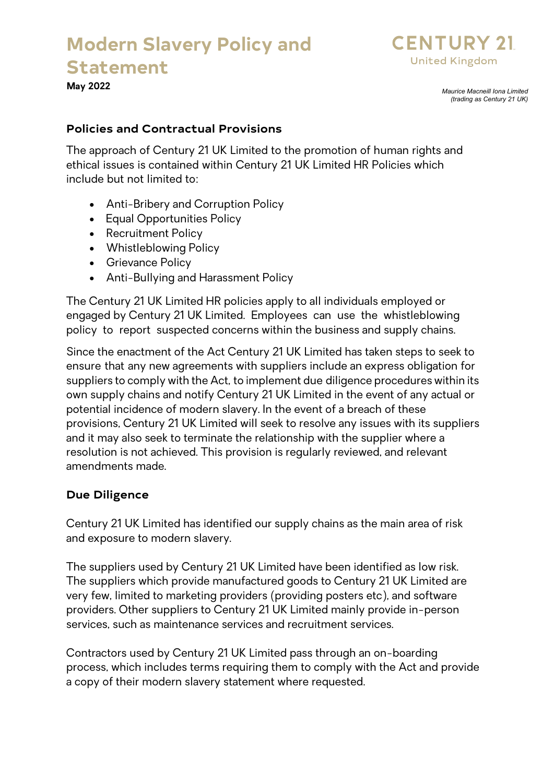

**May 2022**

*Maurice Macneill Iona Limited (trading as Century 21 UK)* 

## **Policies and Contractual Provisions**

The approach of Century 21 UK Limited to the promotion of human rights and ethical issues is contained within Century 21 UK Limited HR Policies which include but not limited to:

- Anti-Bribery and Corruption Policy
- Equal Opportunities Policy
- Recruitment Policy
- Whistleblowing Policy
- Grievance Policy
- Anti-Bullying and Harassment Policy

The Century 21 UK Limited HR policies apply to all individuals employed or engaged by Century 21 UK Limited. Employees can use the whistleblowing policy to report suspected concerns within the business and supply chains.

Since the enactment of the Act Century 21 UK Limited has taken steps to seek to ensure that any new agreements with suppliers include an express obligation for suppliers to comply with the Act, to implement due diligence procedures within its own supply chains and notify Century 21 UK Limited in the event of any actual or potential incidence of modern slavery. In the event of a breach of these provisions, Century 21 UK Limited will seek to resolve any issues with its suppliers and it may also seek to terminate the relationship with the supplier where a resolution is not achieved. This provision is regularly reviewed, and relevant amendments made.

## **Due Diligence**

Century 21 UK Limited has identified our supply chains as the main area of risk and exposure to modern slavery.

The suppliers used by Century 21 UK Limited have been identified as low risk. The suppliers which provide manufactured goods to Century 21 UK Limited are very few, limited to marketing providers (providing posters etc), and software providers. Other suppliers to Century 21 UK Limited mainly provide in-person services, such as maintenance services and recruitment services.

Contractors used by Century 21 UK Limited pass through an on-boarding process, which includes terms requiring them to comply with the Act and provide a copy of their modern slavery statement where requested.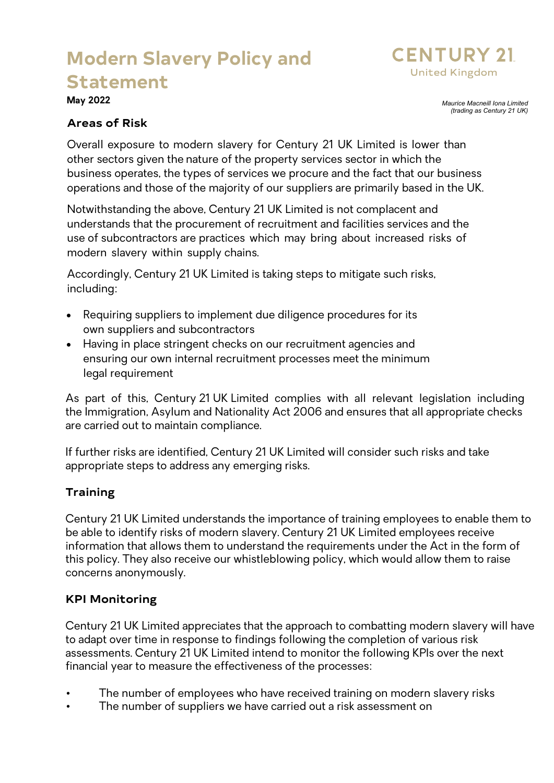

**May 2022**

*Maurice Macneill Iona Limited (trading as Century 21 UK)* 

#### **Areas of Risk**

Overall exposure to modern slavery for Century 21 UK Limited is lower than other sectors given the nature of the property services sector in which the business operates, the types of services we procure and the fact that our business operations and those of the majority of our suppliers are primarily based in the UK.

Notwithstanding the above, Century 21 UK Limited is not complacent and understands that the procurement of recruitment and facilities services and the use of subcontractors are practices which may bring about increased risks of modern slavery within supply chains.

Accordingly, Century 21 UK Limited is taking steps to mitigate such risks, including:

- Requiring suppliers to implement due diligence procedures for its own suppliers and subcontractors
- Having in place stringent checks on our recruitment agencies and ensuring our own internal recruitment processes meet the minimum legal requirement

As part of this, Century 21 UK Limited complies with all relevant legislation including the Immigration, Asylum and Nationality Act 2006 and ensures that all appropriate checks are carried out to maintain compliance.

If further risks are identified, Century 21 UK Limited will consider such risks and take appropriate steps to address any emerging risks.

### **Training**

Century 21 UK Limited understands the importance of training employees to enable them to be able to identify risks of modern slavery. Century 21 UK Limited employees receive information that allows them to understand the requirements under the Act in the form of this policy. They also receive our whistleblowing policy, which would allow them to raise concerns anonymously.

### **KPI Monitoring**

Century 21 UK Limited appreciates that the approach to combatting modern slavery will have to adapt over time in response to findings following the completion of various risk assessments. Century 21 UK Limited intend to monitor the following KPIs over the next financial year to measure the effectiveness of the processes:

- The number of employees who have received training on modern slavery risks
- The number of suppliers we have carried out a risk assessment on